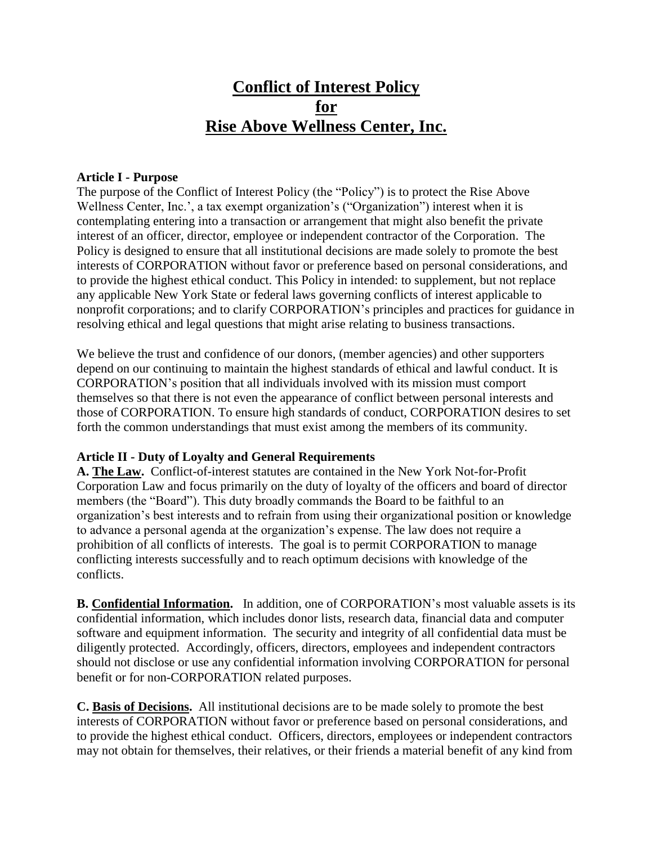# **Conflict of Interest Policy for Rise Above Wellness Center, Inc.**

#### **Article I - Purpose**

The purpose of the Conflict of Interest Policy (the "Policy") is to protect the Rise Above Wellness Center, Inc.', a tax exempt organization's ("Organization") interest when it is contemplating entering into a transaction or arrangement that might also benefit the private interest of an officer, director, employee or independent contractor of the Corporation. The Policy is designed to ensure that all institutional decisions are made solely to promote the best interests of CORPORATION without favor or preference based on personal considerations, and to provide the highest ethical conduct. This Policy in intended: to supplement, but not replace any applicable New York State or federal laws governing conflicts of interest applicable to nonprofit corporations; and to clarify CORPORATION's principles and practices for guidance in resolving ethical and legal questions that might arise relating to business transactions.

We believe the trust and confidence of our donors, (member agencies) and other supporters depend on our continuing to maintain the highest standards of ethical and lawful conduct. It is CORPORATION's position that all individuals involved with its mission must comport themselves so that there is not even the appearance of conflict between personal interests and those of CORPORATION. To ensure high standards of conduct, CORPORATION desires to set forth the common understandings that must exist among the members of its community.

#### **Article II - Duty of Loyalty and General Requirements**

**A. The Law.** Conflict-of-interest statutes are contained in the New York Not-for-Profit Corporation Law and focus primarily on the duty of loyalty of the officers and board of director members (the "Board"). This duty broadly commands the Board to be faithful to an organization's best interests and to refrain from using their organizational position or knowledge to advance a personal agenda at the organization's expense. The law does not require a prohibition of all conflicts of interests. The goal is to permit CORPORATION to manage conflicting interests successfully and to reach optimum decisions with knowledge of the conflicts.

**B. Confidential Information.** In addition, one of CORPORATION's most valuable assets is its confidential information, which includes donor lists, research data, financial data and computer software and equipment information. The security and integrity of all confidential data must be diligently protected. Accordingly, officers, directors, employees and independent contractors should not disclose or use any confidential information involving CORPORATION for personal benefit or for non-CORPORATION related purposes.

**C. Basis of Decisions.** All institutional decisions are to be made solely to promote the best interests of CORPORATION without favor or preference based on personal considerations, and to provide the highest ethical conduct. Officers, directors, employees or independent contractors may not obtain for themselves, their relatives, or their friends a material benefit of any kind from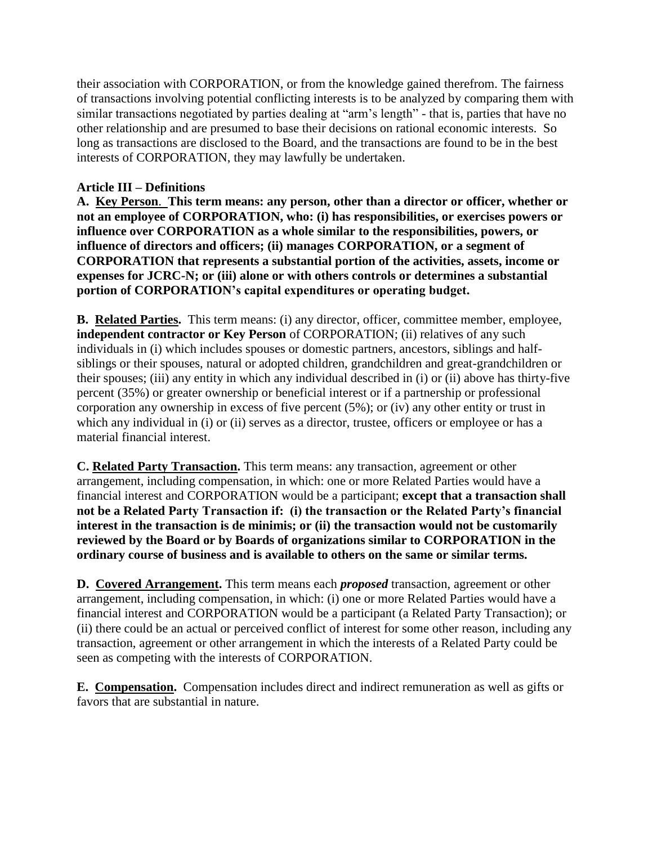their association with CORPORATION, or from the knowledge gained therefrom. The fairness of transactions involving potential conflicting interests is to be analyzed by comparing them with similar transactions negotiated by parties dealing at "arm's length" - that is, parties that have no other relationship and are presumed to base their decisions on rational economic interests. So long as transactions are disclosed to the Board, and the transactions are found to be in the best interests of CORPORATION, they may lawfully be undertaken.

#### **Article III – Definitions**

**A. Key Person**. **This term means: any person, other than a director or officer, whether or not an employee of CORPORATION, who: (i) has responsibilities, or exercises powers or influence over CORPORATION as a whole similar to the responsibilities, powers, or influence of directors and officers; (ii) manages CORPORATION, or a segment of CORPORATION that represents a substantial portion of the activities, assets, income or expenses for JCRC-N; or (iii) alone or with others controls or determines a substantial portion of CORPORATION's capital expenditures or operating budget.**

**B. Related Parties.** This term means: (i) any director, officer, committee member, employee, **independent contractor or Key Person** of CORPORATION; (ii) relatives of any such individuals in (i) which includes spouses or domestic partners, ancestors, siblings and halfsiblings or their spouses, natural or adopted children, grandchildren and great-grandchildren or their spouses; (iii) any entity in which any individual described in (i) or (ii) above has thirty-five percent (35%) or greater ownership or beneficial interest or if a partnership or professional corporation any ownership in excess of five percent  $(5\%)$ ; or  $(iv)$  any other entity or trust in which any individual in (i) or (ii) serves as a director, trustee, officers or employee or has a material financial interest.

**C. Related Party Transaction.** This term means: any transaction, agreement or other arrangement, including compensation, in which: one or more Related Parties would have a financial interest and CORPORATION would be a participant; **except that a transaction shall not be a Related Party Transaction if: (i) the transaction or the Related Party's financial interest in the transaction is de minimis; or (ii) the transaction would not be customarily reviewed by the Board or by Boards of organizations similar to CORPORATION in the ordinary course of business and is available to others on the same or similar terms.** 

**D. Covered Arrangement.** This term means each *proposed* transaction, agreement or other arrangement, including compensation, in which: (i) one or more Related Parties would have a financial interest and CORPORATION would be a participant (a Related Party Transaction); or (ii) there could be an actual or perceived conflict of interest for some other reason, including any transaction, agreement or other arrangement in which the interests of a Related Party could be seen as competing with the interests of CORPORATION.

**E. Compensation.** Compensation includes direct and indirect remuneration as well as gifts or favors that are substantial in nature.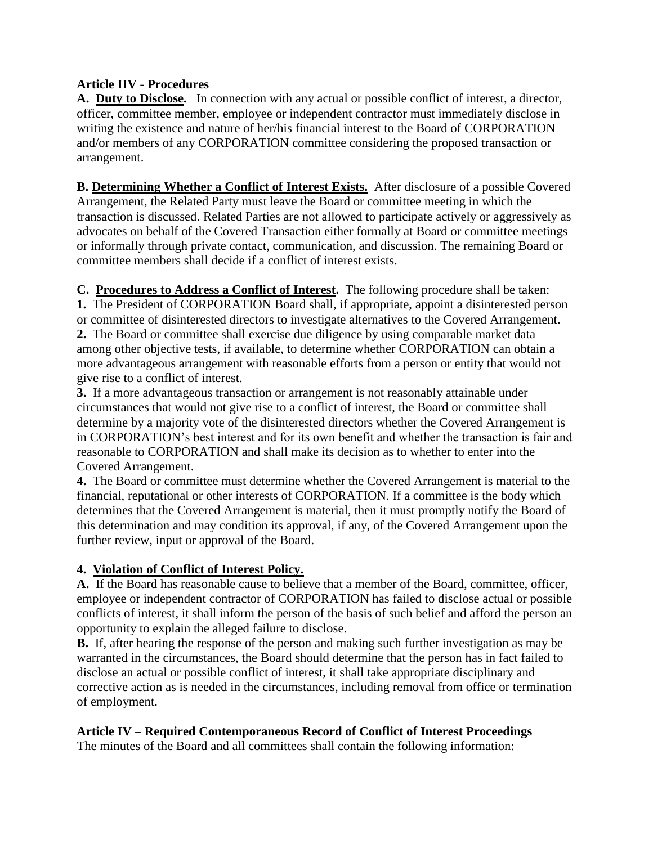### **Article IIV - Procedures**

**A. Duty to Disclose.** In connection with any actual or possible conflict of interest, a director, officer, committee member, employee or independent contractor must immediately disclose in writing the existence and nature of her/his financial interest to the Board of CORPORATION and/or members of any CORPORATION committee considering the proposed transaction or arrangement.

**B. Determining Whether a Conflict of Interest Exists.** After disclosure of a possible Covered Arrangement, the Related Party must leave the Board or committee meeting in which the transaction is discussed. Related Parties are not allowed to participate actively or aggressively as advocates on behalf of the Covered Transaction either formally at Board or committee meetings or informally through private contact, communication, and discussion. The remaining Board or committee members shall decide if a conflict of interest exists.

**C. Procedures to Address a Conflict of Interest.** The following procedure shall be taken: **1.** The President of CORPORATION Board shall, if appropriate, appoint a disinterested person or committee of disinterested directors to investigate alternatives to the Covered Arrangement. **2.** The Board or committee shall exercise due diligence by using comparable market data among other objective tests, if available, to determine whether CORPORATION can obtain a more advantageous arrangement with reasonable efforts from a person or entity that would not give rise to a conflict of interest.

**3.** If a more advantageous transaction or arrangement is not reasonably attainable under circumstances that would not give rise to a conflict of interest, the Board or committee shall determine by a majority vote of the disinterested directors whether the Covered Arrangement is in CORPORATION's best interest and for its own benefit and whether the transaction is fair and reasonable to CORPORATION and shall make its decision as to whether to enter into the Covered Arrangement.

**4.** The Board or committee must determine whether the Covered Arrangement is material to the financial, reputational or other interests of CORPORATION. If a committee is the body which determines that the Covered Arrangement is material, then it must promptly notify the Board of this determination and may condition its approval, if any, of the Covered Arrangement upon the further review, input or approval of the Board.

# **4. Violation of Conflict of Interest Policy.**

**A.** If the Board has reasonable cause to believe that a member of the Board, committee, officer, employee or independent contractor of CORPORATION has failed to disclose actual or possible conflicts of interest, it shall inform the person of the basis of such belief and afford the person an opportunity to explain the alleged failure to disclose.

**B.** If, after hearing the response of the person and making such further investigation as may be warranted in the circumstances, the Board should determine that the person has in fact failed to disclose an actual or possible conflict of interest, it shall take appropriate disciplinary and corrective action as is needed in the circumstances, including removal from office or termination of employment.

# **Article IV – Required Contemporaneous Record of Conflict of Interest Proceedings**

The minutes of the Board and all committees shall contain the following information: